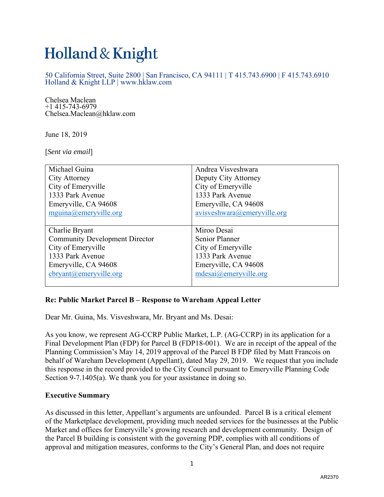# Holland & Knight

50 California Street, Suite 2800 | San Francisco, CA 94111 | T 415.743.6900 | F 415.743.6910 Holland & Knight LLP | www.hklaw.com

Chelsea Maclean +1 415-743-6979 Chelsea.Maclean@hklaw.com

June 18, 2019

[*Sent via email*]

| Michael Guina                         | Andrea Visveshwara          |
|---------------------------------------|-----------------------------|
| City Attorney                         | Deputy City Attorney        |
| City of Emeryville                    | City of Emeryville          |
| 1333 Park Avenue                      | 1333 Park Avenue            |
| Emeryville, CA 94608                  | Emeryville, CA 94608        |
| mguina@emeryville.org                 | avisveshwara@emeryville.org |
|                                       |                             |
| Charlie Bryant                        | Miroo Desai                 |
|                                       |                             |
| <b>Community Development Director</b> | Senior Planner              |
| City of Emeryville                    | City of Emeryville          |
| 1333 Park Avenue                      | 1333 Park Avenue            |
| Emeryville, CA 94608                  | Emeryville, CA 94608        |
| cbryant@emeryville.org                | mdesai@emeryville.org       |

## **Re: Public Market Parcel B – Response to Wareham Appeal Letter**

Dear Mr. Guina, Ms. Visveshwara, Mr. Bryant and Ms. Desai:

As you know, we represent AG-CCRP Public Market, L.P. (AG-CCRP) in its application for a Final Development Plan (FDP) for Parcel B (FDP18-001). We are in receipt of the appeal of the Planning Commission's May 14, 2019 approval of the Parcel B FDP filed by Matt Francois on behalf of Wareham Development (Appellant), dated May 29, 2019. We request that you include this response in the record provided to the City Council pursuant to Emeryville Planning Code Section 9-7.1405(a). We thank you for your assistance in doing so.

#### **Executive Summary**

As discussed in this letter, Appellant's arguments are unfounded. Parcel B is a critical element of the Marketplace development, providing much needed services for the businesses at the Public Market and offices for Emeryville's growing research and development community. Design of the Parcel B building is consistent with the governing PDP, complies with all conditions of approval and mitigation measures, conforms to the City's General Plan, and does not require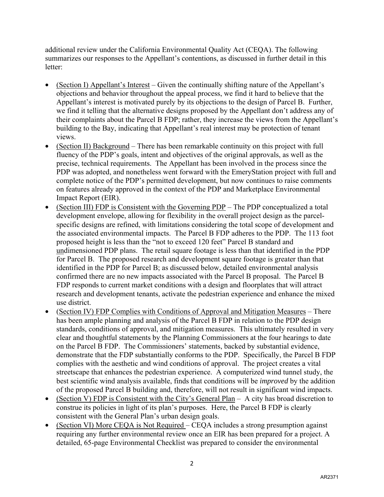additional review under the California Environmental Quality Act (CEQA). The following summarizes our responses to the Appellant's contentions, as discussed in further detail in this letter:

- (Section I) Appellant's Interest Given the continually shifting nature of the Appellant's objections and behavior throughout the appeal process, we find it hard to believe that the Appellant's interest is motivated purely by its objections to the design of Parcel B. Further, we find it telling that the alternative designs proposed by the Appellant don't address any of their complaints about the Parcel B FDP; rather, they increase the views from the Appellant's building to the Bay, indicating that Appellant's real interest may be protection of tenant views.
- (Section II) Background There has been remarkable continuity on this project with full fluency of the PDP's goals, intent and objectives of the original approvals, as well as the precise, technical requirements. The Appellant has been involved in the process since the PDP was adopted, and nonetheless went forward with the EmeryStation project with full and complete notice of the PDP's permitted development, but now continues to raise comments on features already approved in the context of the PDP and Marketplace Environmental Impact Report (EIR).
- (Section III) FDP is Consistent with the Governing PDP The PDP conceptualized a total development envelope, allowing for flexibility in the overall project design as the parcelspecific designs are refined, with limitations considering the total scope of development and the associated environmental impacts. The Parcel B FDP adheres to the PDP. The 113 foot proposed height is less than the "not to exceed 120 feet" Parcel B standard and undimensioned PDP plans. The retail square footage is less than that identified in the PDP for Parcel B. The proposed research and development square footage is greater than that identified in the PDP for Parcel B; as discussed below, detailed environmental analysis confirmed there are no new impacts associated with the Parcel B proposal. The Parcel B FDP responds to current market conditions with a design and floorplates that will attract research and development tenants, activate the pedestrian experience and enhance the mixed use district.
- (Section IV) FDP Complies with Conditions of Approval and Mitigation Measures There has been ample planning and analysis of the Parcel B FDP in relation to the PDP design standards, conditions of approval, and mitigation measures. This ultimately resulted in very clear and thoughtful statements by the Planning Commissioners at the four hearings to date on the Parcel B FDP. The Commissioners' statements, backed by substantial evidence, demonstrate that the FDP substantially conforms to the PDP. Specifically, the Parcel B FDP complies with the aesthetic and wind conditions of approval. The project creates a vital streetscape that enhances the pedestrian experience. A computerized wind tunnel study, the best scientific wind analysis available, finds that conditions will be *improved* by the addition of the proposed Parcel B building and, therefore, will not result in significant wind impacts.
- (Section V) FDP is Consistent with the City's General Plan A city has broad discretion to construe its policies in light of its plan's purposes. Here, the Parcel B FDP is clearly consistent with the General Plan's urban design goals.
- (Section VI) More CEQA is Not Required CEQA includes a strong presumption against requiring any further environmental review once an EIR has been prepared for a project. A detailed, 65-page Environmental Checklist was prepared to consider the environmental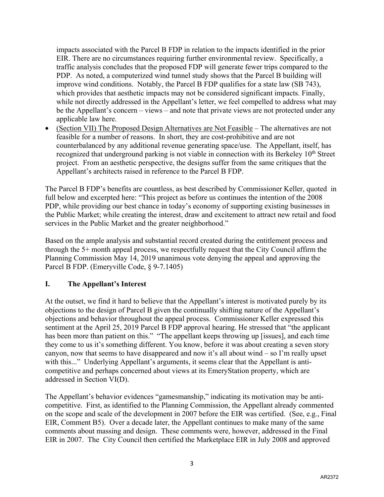impacts associated with the Parcel B FDP in relation to the impacts identified in the prior EIR. There are no circumstances requiring further environmental review. Specifically, a traffic analysis concludes that the proposed FDP will generate fewer trips compared to the PDP. As noted, a computerized wind tunnel study shows that the Parcel B building will improve wind conditions. Notably, the Parcel B FDP qualifies for a state law (SB 743), which provides that aesthetic impacts may not be considered significant impacts. Finally, while not directly addressed in the Appellant's letter, we feel compelled to address what may be the Appellant's concern – views – and note that private views are not protected under any applicable law here.

• (Section VII) The Proposed Design Alternatives are Not Feasible – The alternatives are not feasible for a number of reasons. In short, they are cost-prohibitive and are not counterbalanced by any additional revenue generating space/use. The Appellant, itself, has recognized that underground parking is not viable in connection with its Berkeley  $10<sup>th</sup>$  Street project. From an aesthetic perspective, the designs suffer from the same critiques that the Appellant's architects raised in reference to the Parcel B FDP.

The Parcel B FDP's benefits are countless, as best described by Commissioner Keller, quoted in full below and excerpted here: "This project as before us continues the intention of the 2008 PDP, while providing our best chance in today's economy of supporting existing businesses in the Public Market; while creating the interest, draw and excitement to attract new retail and food services in the Public Market and the greater neighborhood."

Based on the ample analysis and substantial record created during the entitlement process and through the 5+ month appeal process, we respectfully request that the City Council affirm the Planning Commission May 14, 2019 unanimous vote denying the appeal and approving the Parcel B FDP. (Emeryville Code, § 9-7.1405)

# **I. The Appellant's Interest**

At the outset, we find it hard to believe that the Appellant's interest is motivated purely by its objections to the design of Parcel B given the continually shifting nature of the Appellant's objections and behavior throughout the appeal process. Commissioner Keller expressed this sentiment at the April 25, 2019 Parcel B FDP approval hearing. He stressed that "the applicant has been more than patient on this." "The appellant keeps throwing up [issues], and each time they come to us it's something different. You know, before it was about creating a seven story canyon, now that seems to have disappeared and now it's all about wind – so I'm really upset with this..." Underlying Appellant's arguments, it seems clear that the Appellant is anticompetitive and perhaps concerned about views at its EmeryStation property, which are addressed in Section VI(D).

The Appellant's behavior evidences "gamesmanship," indicating its motivation may be anticompetitive. First, as identified to the Planning Commission, the Appellant already commented on the scope and scale of the development in 2007 before the EIR was certified. (See, e.g., Final EIR, Comment B5). Over a decade later, the Appellant continues to make many of the same comments about massing and design. These comments were, however, addressed in the Final EIR in 2007. The City Council then certified the Marketplace EIR in July 2008 and approved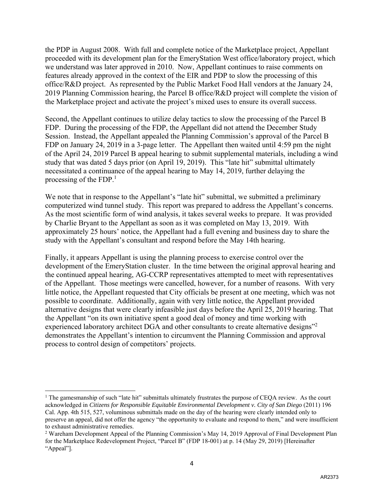the PDP in August 2008. With full and complete notice of the Marketplace project, Appellant proceeded with its development plan for the EmeryStation West office/laboratory project, which we understand was later approved in 2010. Now, Appellant continues to raise comments on features already approved in the context of the EIR and PDP to slow the processing of this office/R&D project. As represented by the Public Market Food Hall vendors at the January 24, 2019 Planning Commission hearing, the Parcel B office/R&D project will complete the vision of the Marketplace project and activate the project's mixed uses to ensure its overall success.

Second, the Appellant continues to utilize delay tactics to slow the processing of the Parcel B FDP. During the processing of the FDP, the Appellant did not attend the December Study Session. Instead, the Appellant appealed the Planning Commission's approval of the Parcel B FDP on January 24, 2019 in a 3-page letter. The Appellant then waited until 4:59 pm the night of the April 24, 2019 Parcel B appeal hearing to submit supplemental materials, including a wind study that was dated 5 days prior (on April 19, 2019). This "late hit" submittal ultimately necessitated a continuance of the appeal hearing to May 14, 2019, further delaying the processing of the FDP. $<sup>1</sup>$ </sup>

We note that in response to the Appellant's "late hit" submittal, we submitted a preliminary computerized wind tunnel study. This report was prepared to address the Appellant's concerns. As the most scientific form of wind analysis, it takes several weeks to prepare. It was provided by Charlie Bryant to the Appellant as soon as it was completed on May 13, 2019. With approximately 25 hours' notice, the Appellant had a full evening and business day to share the study with the Appellant's consultant and respond before the May 14th hearing.

Finally, it appears Appellant is using the planning process to exercise control over the development of the EmeryStation cluster. In the time between the original approval hearing and the continued appeal hearing, AG-CCRP representatives attempted to meet with representatives of the Appellant. Those meetings were cancelled, however, for a number of reasons. With very little notice, the Appellant requested that City officials be present at one meeting, which was not possible to coordinate. Additionally, again with very little notice, the Appellant provided alternative designs that were clearly infeasible just days before the April 25, 2019 hearing. That the Appellant "on its own initiative spent a good deal of money and time working with experienced laboratory architect DGA and other consultants to create alternative designs"<sup>2</sup> demonstrates the Appellant's intention to circumvent the Planning Commission and approval process to control design of competitors' projects.

 $\overline{a}$ 

<sup>&</sup>lt;sup>1</sup> The gamesmanship of such "late hit" submittals ultimately frustrates the purpose of CEQA review. As the court acknowledged in *Citizens for Responsible Equitable Environmental Development v. City of San Diego* (2011) 196 Cal. App. 4th 515, 527, voluminous submittals made on the day of the hearing were clearly intended only to preserve an appeal, did not offer the agency "the opportunity to evaluate and respond to them," and were insufficient to exhaust administrative remedies.

<sup>&</sup>lt;sup>2</sup> Wareham Development Appeal of the Planning Commission's May 14, 2019 Approval of Final Development Plan for the Marketplace Redevelopment Project, "Parcel B" (FDP 18-001) at p. 14 (May 29, 2019) [Hereinafter "Appeal"].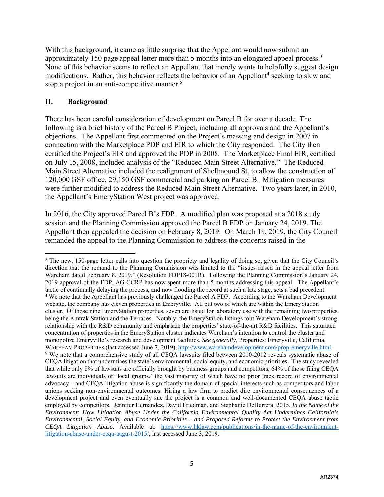With this background, it came as little surprise that the Appellant would now submit an approximately 150 page appeal letter more than 5 months into an elongated appeal process.<sup>3</sup> None of this behavior seems to reflect an Appellant that merely wants to helpfully suggest design modifications. Rather, this behavior reflects the behavior of an Appellant<sup>4</sup> seeking to slow and stop a project in an anti-competitive manner.<sup>5</sup>

#### **II. Background**

 $\overline{\phantom{a}}$ 

There has been careful consideration of development on Parcel B for over a decade. The following is a brief history of the Parcel B Project, including all approvals and the Appellant's objections. The Appellant first commented on the Project's massing and design in 2007 in connection with the Marketplace PDP and EIR to which the City responded. The City then certified the Project's EIR and approved the PDP in 2008. The Marketplace Final EIR, certified on July 15, 2008, included analysis of the "Reduced Main Street Alternative." The Reduced Main Street Alternative included the realignment of Shellmound St. to allow the construction of 120,000 GSF office, 29,150 GSF commercial and parking on Parcel B. Mitigation measures were further modified to address the Reduced Main Street Alternative. Two years later, in 2010, the Appellant's EmeryStation West project was approved.

In 2016, the City approved Parcel B's FDP. A modified plan was proposed at a 2018 study session and the Planning Commission approved the Parcel B FDP on January 24, 2019. The Appellant then appealed the decision on February 8, 2019. On March 19, 2019, the City Council remanded the appeal to the Planning Commission to address the concerns raised in the

<sup>&</sup>lt;sup>3</sup> The new, 150-page letter calls into question the propriety and legality of doing so, given that the City Council's direction that the remand to the Planning Commission was limited to the "issues raised in the appeal letter from Wareham dated February 8, 2019." (Resolution FDP18-001R). Following the Planning Commission's January 24, 2019 approval of the FDP, AG-CCRP has now spent more than 5 months addressing this appeal. The Appellant's tactic of continually delaying the process, and now flooding the record at such a late stage, sets a bad precedent. <sup>4</sup> We note that the Appellant has previously challenged the Parcel A FDP. According to the Wareham Development website, the company has eleven properties in Emeryville. All but two of which are within the EmeryStation cluster. Of those nine EmeryStation properties, seven are listed for laboratory use with the remaining two properties being the Amtrak Station and the Terraces. Notably, the EmeryStation listings tout Wareham Development's strong relationship with the R&D community and emphasize the properties' state-of-the-art R&D facilities. This saturated concentration of properties in the EmeryStation cluster indicates Wareham's intention to control the cluster and monopolize Emeryville's research and development facilities. *See generally*, Properties: Emeryville, California, WAREHAM PROPERTIES (last accessed June 7, 2019), http://www.warehamdevelopment.com/prop-emeryville.html. We note that a comprehensive study of all CEQA lawsuits filed between 2010-2012 reveals systematic abuse of CEQA litigation that undermines the state's environmental, social equity, and economic priorities. The study revealed that while only 8% of lawsuits are officially brought by business groups and competitors, 64% of those filing CEQA lawsuits are individuals or 'local groups,' the vast majority of which have no prior track record of environmental advocacy – and CEQA litigation abuse is significantly the domain of special interests such as competitors and labor unions seeking non-environmental outcomes. Hiring a law firm to predict dire environmental consequences of a development project and even eventually sue the project is a common and well-documented CEQA abuse tactic employed by competitors. Jennifer Hernandez, David Friedman, and Stephanie DeHerrera. 2015. *In the Name of the Environment: How Litigation Abuse Under the California Environmental Quality Act Undermines California's Environmental, Social Equity, and Economic Priorities – and Proposed Reforms to Protect the Environment from CEQA Litigation Abuse*. Available at: https://www.hklaw.com/publications/in-the-name-of-the-environmentlitigation-abuse-under-ceqa-august-2015/, last accessed June 3, 2019.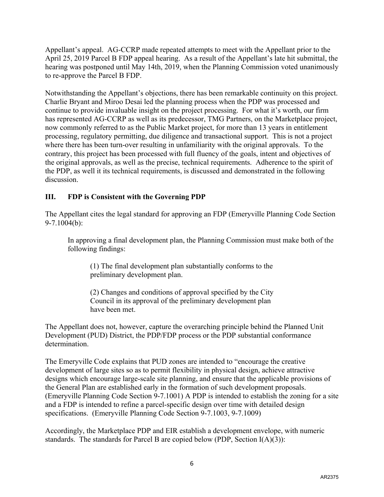Appellant's appeal. AG-CCRP made repeated attempts to meet with the Appellant prior to the April 25, 2019 Parcel B FDP appeal hearing. As a result of the Appellant's late hit submittal, the hearing was postponed until May 14th, 2019, when the Planning Commission voted unanimously to re-approve the Parcel B FDP.

Notwithstanding the Appellant's objections, there has been remarkable continuity on this project. Charlie Bryant and Miroo Desai led the planning process when the PDP was processed and continue to provide invaluable insight on the project processing. For what it's worth, our firm has represented AG-CCRP as well as its predecessor, TMG Partners, on the Marketplace project, now commonly referred to as the Public Market project, for more than 13 years in entitlement processing, regulatory permitting, due diligence and transactional support. This is not a project where there has been turn-over resulting in unfamiliarity with the original approvals. To the contrary, this project has been processed with full fluency of the goals, intent and objectives of the original approvals, as well as the precise, technical requirements. Adherence to the spirit of the PDP, as well it its technical requirements, is discussed and demonstrated in the following discussion.

# **III. FDP is Consistent with the Governing PDP**

The Appellant cites the legal standard for approving an FDP (Emeryville Planning Code Section 9-7.1004(b):

In approving a final development plan, the Planning Commission must make both of the following findings:

(1) The final development plan substantially conforms to the preliminary development plan.

(2) Changes and conditions of approval specified by the City Council in its approval of the preliminary development plan have been met.

The Appellant does not, however, capture the overarching principle behind the Planned Unit Development (PUD) District, the PDP/FDP process or the PDP substantial conformance determination.

The Emeryville Code explains that PUD zones are intended to "encourage the creative development of large sites so as to permit flexibility in physical design, achieve attractive designs which encourage large-scale site planning, and ensure that the applicable provisions of the General Plan are established early in the formation of such development proposals. (Emeryville Planning Code Section 9-7.1001) A PDP is intended to establish the zoning for a site and a FDP is intended to refine a parcel-specific design over time with detailed design specifications. (Emeryville Planning Code Section 9-7.1003, 9-7.1009)

Accordingly, the Marketplace PDP and EIR establish a development envelope, with numeric standards. The standards for Parcel B are copied below (PDP, Section I(A)(3)):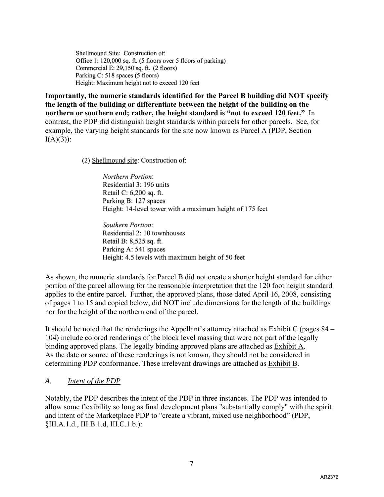Shellmound Site: Construction of: Office 1: 120,000 sq. ft. (5 floors over 5 floors of parking) Commercial E: 29,150 sq. ft. (2 floors) Parking C: 518 spaces (5 floors) Height: Maximum height not to exceed 120 feet

**Importantly, the numeric standards identified for the Parcel B building did NOT specify the length of the building or differentiate between the height of the building on the northern or southern end; rather, the height standard is "not to exceed 120 feet."** In contrast, the PDP did distinguish height standards within parcels for other parcels. See, for example, the varying height standards for the site now known as Parcel A (PDP, Section  $I(A)(3)$ :

(2) Shellmound site: Construction of:

Northern Portion: Residential 3: 196 units Retail C: 6,200 sq. ft. Parking B: 127 spaces Height: 14-level tower with a maximum height of 175 feet

Southern Portion: Residential 2: 10 townhouses Retail B: 8,525 sq. ft. Parking A: 541 spaces Height: 4.5 levels with maximum height of 50 feet

As shown, the numeric standards for Parcel B did not create a shorter height standard for either portion of the parcel allowing for the reasonable interpretation that the 120 foot height standard applies to the entire parcel. Further, the approved plans, those dated April 16, 2008, consisting of pages 1 to 15 and copied below, did NOT include dimensions for the length of the buildings nor for the height of the northern end of the parcel.

It should be noted that the renderings the Appellant's attorney attached as Exhibit C (pages 84 – 104) include colored renderings of the block level massing that were not part of the legally binding approved plans. The legally binding approved plans are attached as Exhibit A. As the date or source of these renderings is not known, they should not be considered in determining PDP conformance. These irrelevant drawings are attached as Exhibit B.

#### *A. Intent of the PDP*

Notably, the PDP describes the intent of the PDP in three instances. The PDP was intended to allow some flexibility so long as final development plans "substantially comply" with the spirit and intent of the Marketplace PDP to "create a vibrant, mixed use neighborhood" (PDP, §III.A.1.d., III.B.1.d, III.C.1.b.):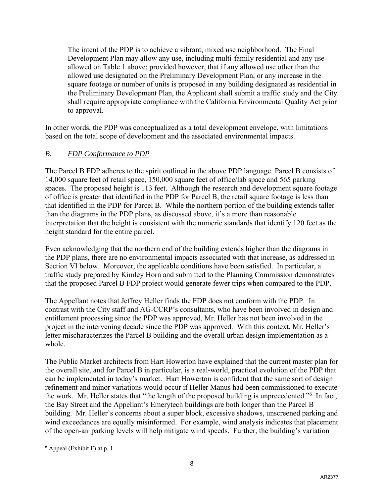The intent of the PDP is to achieve a vibrant, mixed use neighborhood. The Final Development Plan may allow any use, including multi-family residential and any use allowed on Table 1 above; provided however, that if any allowed use other than the allowed use designated on the Preliminary Development Plan, or any increase in the square footage or number of units is proposed in any building designated as residential in the Preliminary Development Plan, the Applicant shall submit a traffic study and the City shall require appropriate compliance with the California Environmental Quality Act prior to approval.

In other words, the PDP was conceptualized as a total development envelope, with limitations based on the total scope of development and the associated environmental impacts.

# *B. FDP Conformance to PDP*

The Parcel B FDP adheres to the spirit outlined in the above PDP language. Parcel B consists of 14,000 square feet of retail space, 150,000 square feet of office/lab space and 565 parking spaces. The proposed height is 113 feet. Although the research and development square footage of office is greater that identified in the PDP for Parcel B, the retail square footage is less than that identified in the PDP for Parcel B. While the northern portion of the building extends taller than the diagrams in the PDP plans, as discussed above, it's a more than reasonable interpretation that the height is consistent with the numeric standards that identify 120 feet as the height standard for the entire parcel.

Even acknowledging that the northern end of the building extends higher than the diagrams in the PDP plans, there are no environmental impacts associated with that increase, as addressed in Section VI below. Moreover, the applicable conditions have been satisfied. In particular, a traffic study prepared by Kimley Horn and submitted to the Planning Commission demonstrates that the proposed Parcel B FDP project would generate fewer trips when compared to the PDP.

The Appellant notes that Jeffrey Heller finds the FDP does not conform with the PDP. In contrast with the City staff and AG-CCRP's consultants, who have been involved in design and entitlement processing since the PDP was approved, Mr. Heller has not been involved in the project in the intervening decade since the PDP was approved. With this context, Mr. Heller's letter mischaracterizes the Parcel B building and the overall urban design implementation as a whole.

The Public Market architects from Hart Howerton have explained that the current master plan for the overall site, and for Parcel B in particular, is a real-world, practical evolution of the PDP that can be implemented in today's market. Hart Howerton is confident that the same sort of design refinement and minor variations would occur if Heller Manus had been commissioned to execute the work. Mr. Heller states that "the length of the proposed building is unprecedented." In fact, the Bay Street and the Appellant's Emerytech buildings are both longer than the Parcel B building. Mr. Heller's concerns about a super block, excessive shadows, unscreened parking and wind exceedances are equally misinformed. For example, wind analysis indicates that placement of the open-air parking levels will help mitigate wind speeds. Further, the building's variation

 $\overline{\phantom{a}}$  $<sup>6</sup>$  Appeal (Exhibit F) at p. 1.</sup>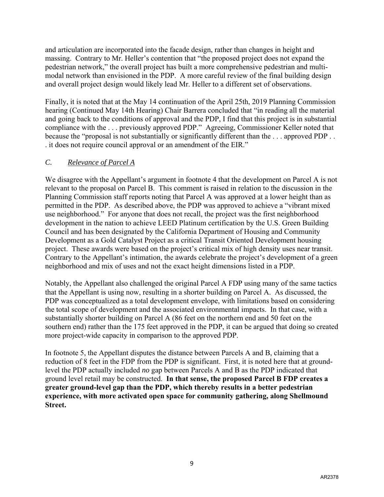and articulation are incorporated into the facade design, rather than changes in height and massing. Contrary to Mr. Heller's contention that "the proposed project does not expand the pedestrian network," the overall project has built a more comprehensive pedestrian and multimodal network than envisioned in the PDP. A more careful review of the final building design and overall project design would likely lead Mr. Heller to a different set of observations.

Finally, it is noted that at the May 14 continuation of the April 25th, 2019 Planning Commission hearing (Continued May 14th Hearing) Chair Barrera concluded that "in reading all the material and going back to the conditions of approval and the PDP, I find that this project is in substantial compliance with the . . . previously approved PDP." Agreeing, Commissioner Keller noted that because the "proposal is not substantially or significantly different than the . . . approved PDP . . . it does not require council approval or an amendment of the EIR."

## *C. Relevance of Parcel A*

We disagree with the Appellant's argument in footnote 4 that the development on Parcel A is not relevant to the proposal on Parcel B. This comment is raised in relation to the discussion in the Planning Commission staff reports noting that Parcel A was approved at a lower height than as permitted in the PDP. As described above, the PDP was approved to achieve a "vibrant mixed use neighborhood." For anyone that does not recall, the project was the first neighborhood development in the nation to achieve LEED Platinum certification by the U.S. Green Building Council and has been designated by the California Department of Housing and Community Development as a Gold Catalyst Project as a critical Transit Oriented Development housing project. These awards were based on the project's critical mix of high density uses near transit. Contrary to the Appellant's intimation, the awards celebrate the project's development of a green neighborhood and mix of uses and not the exact height dimensions listed in a PDP.

Notably, the Appellant also challenged the original Parcel A FDP using many of the same tactics that the Appellant is using now, resulting in a shorter building on Parcel A. As discussed, the PDP was conceptualized as a total development envelope, with limitations based on considering the total scope of development and the associated environmental impacts. In that case, with a substantially shorter building on Parcel A (86 feet on the northern end and 50 feet on the southern end) rather than the 175 feet approved in the PDP, it can be argued that doing so created more project-wide capacity in comparison to the approved PDP.

In footnote 5, the Appellant disputes the distance between Parcels A and B, claiming that a reduction of 8 feet in the FDP from the PDP is significant. First, it is noted here that at groundlevel the PDP actually included *no* gap between Parcels A and B as the PDP indicated that ground level retail may be constructed. **In that sense, the proposed Parcel B FDP creates a greater ground-level gap than the PDP, which thereby results in a better pedestrian experience, with more activated open space for community gathering, along Shellmound Street.**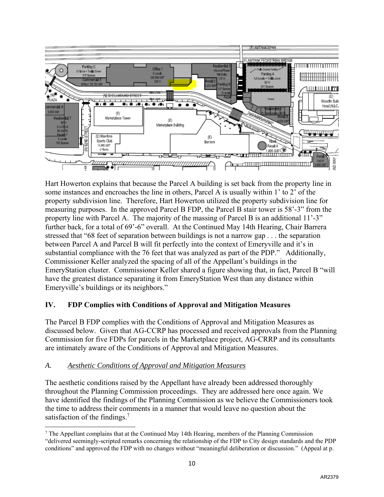

Hart Howerton explains that because the Parcel A building is set back from the property line in some instances and encroaches the line in others, Parcel A is usually within 1' to 2' of the property subdivision line. Therefore, Hart Howerton utilized the property subdivision line for measuring purposes. In the approved Parcel B FDP, the Parcel B stair tower is 58'-3" from the property line with Parcel A. The majority of the massing of Parcel B is an additional 11'-3" further back, for a total of 69'-6" overall. At the Continued May 14th Hearing, Chair Barrera stressed that "68 feet of separation between buildings is not a narrow gap . . . the separation between Parcel A and Parcel B will fit perfectly into the context of Emeryville and it's in substantial compliance with the 76 feet that was analyzed as part of the PDP." Additionally, Commissioner Keller analyzed the spacing of all of the Appellant's buildings in the EmeryStation cluster. Commissioner Keller shared a figure showing that, in fact, Parcel B "will have the greatest distance separating it from EmeryStation West than any distance within Emeryville's buildings or its neighbors."

# **IV. FDP Complies with Conditions of Approval and Mitigation Measures**

The Parcel B FDP complies with the Conditions of Approval and Mitigation Measures as discussed below. Given that AG-CCRP has processed and received approvals from the Planning Commission for five FDPs for parcels in the Marketplace project, AG-CRRP and its consultants are intimately aware of the Conditions of Approval and Mitigation Measures.

## *A. Aesthetic Conditions of Approval and Mitigation Measures*

The aesthetic conditions raised by the Appellant have already been addressed thoroughly throughout the Planning Commission proceedings. They are addressed here once again. We have identified the findings of the Planning Commission as we believe the Commissioners took the time to address their comments in a manner that would leave no question about the satisfaction of the findings. $7$ 

 $\overline{\phantom{a}}$  $<sup>7</sup>$  The Appellant complains that at the Continued May 14th Hearing, members of the Planning Commission</sup> "delivered seemingly-scripted remarks concerning the relationship of the FDP to City design standards and the PDP conditions" and approved the FDP with no changes without "meaningful deliberation or discussion." (Appeal at p.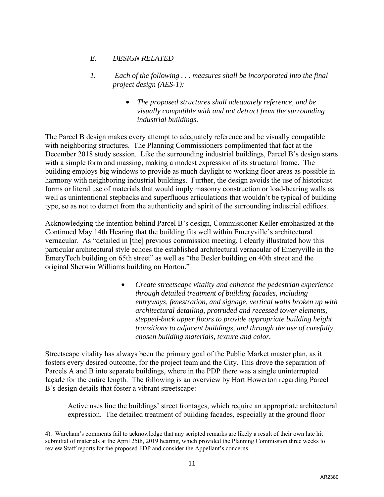# *E. DESIGN RELATED*

- *1. Each of the following . . . measures shall be incorporated into the final project design (AES-1):* 
	- *The proposed structures shall adequately reference, and be visually compatible with and not detract from the surrounding industrial buildings*.

The Parcel B design makes every attempt to adequately reference and be visually compatible with neighboring structures. The Planning Commissioners complimented that fact at the December 2018 study session. Like the surrounding industrial buildings, Parcel B's design starts with a simple form and massing, making a modest expression of its structural frame. The building employs big windows to provide as much daylight to working floor areas as possible in harmony with neighboring industrial buildings. Further, the design avoids the use of historicist forms or literal use of materials that would imply masonry construction or load-bearing walls as well as unintentional stepbacks and superfluous articulations that wouldn't be typical of building type, so as not to detract from the authenticity and spirit of the surrounding industrial edifices.

Acknowledging the intention behind Parcel B's design, Commissioner Keller emphasized at the Continued May 14th Hearing that the building fits well within Emeryville's architectural vernacular. As "detailed in [the] previous commission meeting, I clearly illustrated how this particular architectural style echoes the established architectural vernacular of Emeryville in the EmeryTech building on 65th street" as well as "the Besler building on 40th street and the original Sherwin Williams building on Horton."

> • *Create streetscape vitality and enhance the pedestrian experience through detailed treatment of building facades, including entryways, fenestration, and signage, vertical walls broken up with architectural detailing, protruded and recessed tower elements, stepped-back upper floors to provide appropriate building height transitions to adjacent buildings, and through the use of carefully chosen building materials, texture and color.*

Streetscape vitality has always been the primary goal of the Public Market master plan, as it fosters every desired outcome, for the project team and the City. This drove the separation of Parcels A and B into separate buildings, where in the PDP there was a single uninterrupted façade for the entire length. The following is an overview by Hart Howerton regarding Parcel B's design details that foster a vibrant streetscape:

Active uses line the buildings' street frontages, which require an appropriate architectural expression. The detailed treatment of building facades, especially at the ground floor

 $\overline{\phantom{a}}$ 4). Wareham's comments fail to acknowledge that any scripted remarks are likely a result of their own late hit submittal of materials at the April 25th, 2019 hearing, which provided the Planning Commission three weeks to review Staff reports for the proposed FDP and consider the Appellant's concerns.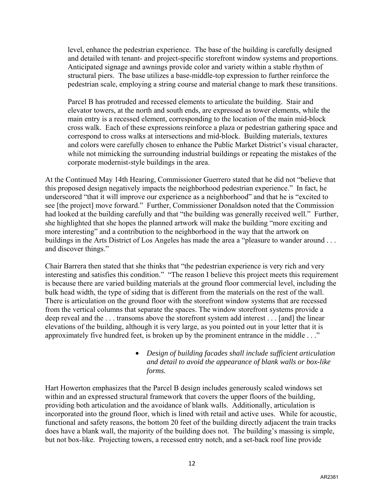level, enhance the pedestrian experience. The base of the building is carefully designed and detailed with tenant- and project-specific storefront window systems and proportions. Anticipated signage and awnings provide color and variety within a stable rhythm of structural piers. The base utilizes a base-middle-top expression to further reinforce the pedestrian scale, employing a string course and material change to mark these transitions.

Parcel B has protruded and recessed elements to articulate the building. Stair and elevator towers, at the north and south ends, are expressed as tower elements, while the main entry is a recessed element, corresponding to the location of the main mid-block cross walk. Each of these expressions reinforce a plaza or pedestrian gathering space and correspond to cross walks at intersections and mid-block. Building materials, textures and colors were carefully chosen to enhance the Public Market District's visual character, while not mimicking the surrounding industrial buildings or repeating the mistakes of the corporate modernist-style buildings in the area.

At the Continued May 14th Hearing, Commissioner Guerrero stated that he did not "believe that this proposed design negatively impacts the neighborhood pedestrian experience." In fact, he underscored "that it will improve our experience as a neighborhood" and that he is "excited to see [the project] move forward." Further, Commissioner Donaldson noted that the Commission had looked at the building carefully and that "the building was generally received well." Further, she highlighted that she hopes the planned artwork will make the building "more exciting and more interesting" and a contribution to the neighborhood in the way that the artwork on buildings in the Arts District of Los Angeles has made the area a "pleasure to wander around . . . and discover things."

Chair Barrera then stated that she thinks that "the pedestrian experience is very rich and very interesting and satisfies this condition." "The reason I believe this project meets this requirement is because there are varied building materials at the ground floor commercial level, including the bulk head width, the type of siding that is different from the materials on the rest of the wall. There is articulation on the ground floor with the storefront window systems that are recessed from the vertical columns that separate the spaces. The window storefront systems provide a deep reveal and the . . . transoms above the storefront system add interest . . . [and] the linear elevations of the building, although it is very large, as you pointed out in your letter that it is approximately five hundred feet, is broken up by the prominent entrance in the middle . . ."

# • *Design of building facades shall include sufficient articulation and detail to avoid the appearance of blank walls or box-like forms.*

Hart Howerton emphasizes that the Parcel B design includes generously scaled windows set within and an expressed structural framework that covers the upper floors of the building, providing both articulation and the avoidance of blank walls. Additionally, articulation is incorporated into the ground floor, which is lined with retail and active uses. While for acoustic, functional and safety reasons, the bottom 20 feet of the building directly adjacent the train tracks does have a blank wall, the majority of the building does not. The building's massing is simple, but not box-like. Projecting towers, a recessed entry notch, and a set-back roof line provide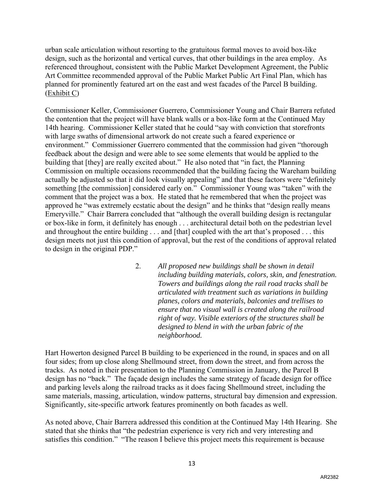urban scale articulation without resorting to the gratuitous formal moves to avoid box-like design, such as the horizontal and vertical curves, that other buildings in the area employ. As referenced throughout, consistent with the Public Market Development Agreement, the Public Art Committee recommended approval of the Public Market Public Art Final Plan, which has planned for prominently featured art on the east and west facades of the Parcel B building. (Exhibit C)

Commissioner Keller, Commissioner Guerrero, Commissioner Young and Chair Barrera refuted the contention that the project will have blank walls or a box-like form at the Continued May 14th hearing. Commissioner Keller stated that he could "say with conviction that storefronts with large swaths of dimensional artwork do not create such a feared experience or environment." Commissioner Guerrero commented that the commission had given "thorough feedback about the design and were able to see some elements that would be applied to the building that [they] are really excited about." He also noted that "in fact, the Planning Commission on multiple occasions recommended that the building facing the Wareham building actually be adjusted so that it did look visually appealing" and that these factors were "definitely something [the commission] considered early on." Commissioner Young was "taken" with the comment that the project was a box. He stated that he remembered that when the project was approved he "was extremely ecstatic about the design" and he thinks that "design really means Emeryville." Chair Barrera concluded that "although the overall building design is rectangular or box-like in form, it definitely has enough . . . architectural detail both on the pedestrian level and throughout the entire building . . . and [that] coupled with the art that's proposed . . . this design meets not just this condition of approval, but the rest of the conditions of approval related to design in the original PDP."

> 2. *All proposed new buildings shall be shown in detail including building materials, colors, skin, and fenestration. Towers and buildings along the rail road tracks shall be articulated with treatment such as variations in building planes, colors and materials, balconies and trellises to ensure that no visual wall is created along the railroad right of way. Visible exteriors of the structures shall be designed to blend in with the urban fabric of the neighborhood.*

Hart Howerton designed Parcel B building to be experienced in the round, in spaces and on all four sides; from up close along Shellmound street, from down the street, and from across the tracks. As noted in their presentation to the Planning Commission in January, the Parcel B design has no "back." The façade design includes the same strategy of facade design for office and parking levels along the railroad tracks as it does facing Shellmound street, including the same materials, massing, articulation, window patterns, structural bay dimension and expression. Significantly, site-specific artwork features prominently on both facades as well.

As noted above, Chair Barrera addressed this condition at the Continued May 14th Hearing. She stated that she thinks that "the pedestrian experience is very rich and very interesting and satisfies this condition." "The reason I believe this project meets this requirement is because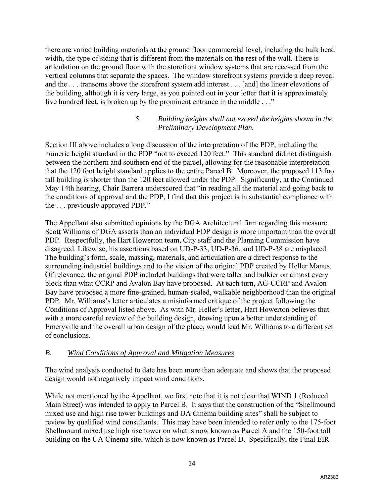there are varied building materials at the ground floor commercial level, including the bulk head width, the type of siding that is different from the materials on the rest of the wall. There is articulation on the ground floor with the storefront window systems that are recessed from the vertical columns that separate the spaces. The window storefront systems provide a deep reveal and the . . . transoms above the storefront system add interest . . . [and] the linear elevations of the building, although it is very large, as you pointed out in your letter that it is approximately five hundred feet, is broken up by the prominent entrance in the middle . . ."

#### 5. *Building heights shall not exceed the heights shown in the Preliminary Development Plan.*

Section III above includes a long discussion of the interpretation of the PDP, including the numeric height standard in the PDP "not to exceed 120 feet." This standard did not distinguish between the northern and southern end of the parcel, allowing for the reasonable interpretation that the 120 foot height standard applies to the entire Parcel B. Moreover, the proposed 113 foot tall building is shorter than the 120 feet allowed under the PDP. Significantly, at the Continued May 14th hearing, Chair Barrera underscored that "in reading all the material and going back to the conditions of approval and the PDP, I find that this project is in substantial compliance with the . . . previously approved PDP."

The Appellant also submitted opinions by the DGA Architectural firm regarding this measure. Scott Williams of DGA asserts than an individual FDP design is more important than the overall PDP. Respectfully, the Hart Howerton team, City staff and the Planning Commission have disagreed. Likewise, his assertions based on UD-P-33, UD-P-36, and UD-P-38 are misplaced. The building's form, scale, massing, materials, and articulation are a direct response to the surrounding industrial buildings and to the vision of the original PDP created by Heller Manus. Of relevance, the original PDP included buildings that were taller and bulkier on almost every block than what CCRP and Avalon Bay have proposed. At each turn, AG-CCRP and Avalon Bay have proposed a more fine-grained, human-scaled, walkable neighborhood than the original PDP. Mr. Williams's letter articulates a misinformed critique of the project following the Conditions of Approval listed above. As with Mr. Heller's letter, Hart Howerton believes that with a more careful review of the building design, drawing upon a better understanding of Emeryville and the overall urban design of the place, would lead Mr. Williams to a different set of conclusions.

## *B. Wind Conditions of Approval and Mitigation Measures*

The wind analysis conducted to date has been more than adequate and shows that the proposed design would not negatively impact wind conditions.

While not mentioned by the Appellant, we first note that it is not clear that WIND 1 (Reduced Main Street) was intended to apply to Parcel B. It says that the construction of the "Shellmound mixed use and high rise tower buildings and UA Cinema building sites" shall be subject to review by qualified wind consultants. This may have been intended to refer only to the 175-foot Shellmound mixed use high rise tower on what is now known as Parcel A and the 150-foot tall building on the UA Cinema site, which is now known as Parcel D. Specifically, the Final EIR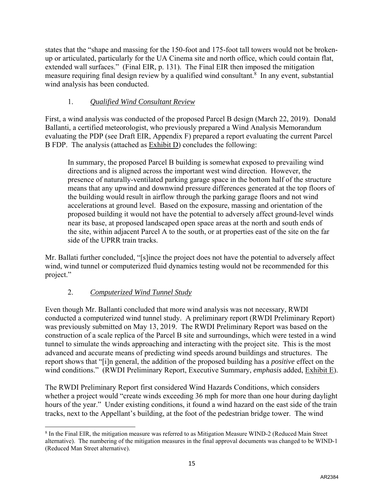states that the "shape and massing for the 150-foot and 175-foot tall towers would not be brokenup or articulated, particularly for the UA Cinema site and north office, which could contain flat, extended wall surfaces." (Final EIR, p. 131). The Final EIR then imposed the mitigation measure requiring final design review by a qualified wind consultant.<sup>8</sup> In any event, substantial wind analysis has been conducted.

# 1. *Qualified Wind Consultant Review*

First, a wind analysis was conducted of the proposed Parcel B design (March 22, 2019). Donald Ballanti, a certified meteorologist, who previously prepared a Wind Analysis Memorandum evaluating the PDP (see Draft EIR, Appendix F) prepared a report evaluating the current Parcel B FDP. The analysis (attached as Exhibit D) concludes the following:

In summary, the proposed Parcel B building is somewhat exposed to prevailing wind directions and is aligned across the important west wind direction. However, the presence of naturally-ventilated parking garage space in the bottom half of the structure means that any upwind and downwind pressure differences generated at the top floors of the building would result in airflow through the parking garage floors and not wind accelerations at ground level. Based on the exposure, massing and orientation of the proposed building it would not have the potential to adversely affect ground-level winds near its base, at proposed landscaped open space areas at the north and south ends of the site, within adjacent Parcel A to the south, or at properties east of the site on the far side of the UPRR train tracks.

Mr. Ballati further concluded, "[s]ince the project does not have the potential to adversely affect wind, wind tunnel or computerized fluid dynamics testing would not be recommended for this project."

# 2. *Computerized Wind Tunnel Study*

Even though Mr. Ballanti concluded that more wind analysis was not necessary, RWDI conducted a computerized wind tunnel study. A preliminary report (RWDI Preliminary Report) was previously submitted on May 13, 2019. The RWDI Preliminary Report was based on the construction of a scale replica of the Parcel B site and surroundings, which were tested in a wind tunnel to simulate the winds approaching and interacting with the project site. This is the most advanced and accurate means of predicting wind speeds around buildings and structures. The report shows that "[i]n general, the addition of the proposed building has a *positive* effect on the wind conditions." (RWDI Preliminary Report, Executive Summary, *emphasis* added, Exhibit E).

The RWDI Preliminary Report first considered Wind Hazards Conditions, which considers whether a project would "create winds exceeding 36 mph for more than one hour during daylight hours of the year." Under existing conditions, it found a wind hazard on the east side of the train tracks, next to the Appellant's building, at the foot of the pedestrian bridge tower. The wind

 $\overline{\phantom{a}}$ <sup>8</sup> In the Final EIR, the mitigation measure was referred to as Mitigation Measure WIND-2 (Reduced Main Street alternative). The numbering of the mitigation measures in the final approval documents was changed to be WIND-1 (Reduced Man Street alternative).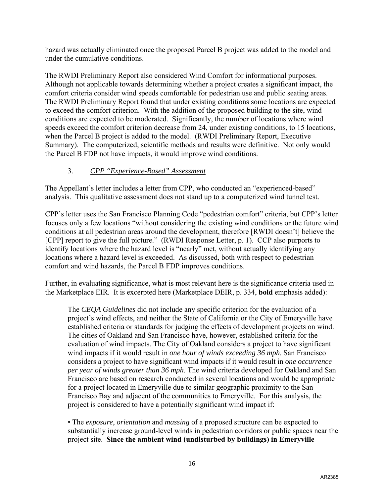hazard was actually eliminated once the proposed Parcel B project was added to the model and under the cumulative conditions.

The RWDI Preliminary Report also considered Wind Comfort for informational purposes. Although not applicable towards determining whether a project creates a significant impact, the comfort criteria consider wind speeds comfortable for pedestrian use and public seating areas. The RWDI Preliminary Report found that under existing conditions some locations are expected to exceed the comfort criterion. With the addition of the proposed building to the site, wind conditions are expected to be moderated. Significantly, the number of locations where wind speeds exceed the comfort criterion decrease from 24, under existing conditions, to 15 locations, when the Parcel B project is added to the model. (RWDI Preliminary Report, Executive Summary). The computerized, scientific methods and results were definitive. Not only would the Parcel B FDP not have impacts, it would improve wind conditions.

# 3. *CPP "Experience-Based" Assessment*

The Appellant's letter includes a letter from CPP, who conducted an "experienced-based" analysis. This qualitative assessment does not stand up to a computerized wind tunnel test.

CPP's letter uses the San Francisco Planning Code "pedestrian comfort" criteria, but CPP's letter focuses only a few locations "without considering the existing wind conditions or the future wind conditions at all pedestrian areas around the development, therefore [RWDI doesn't] believe the [CPP] report to give the full picture." (RWDI Response Letter, p. 1). CCP also purports to identify locations where the hazard level is "nearly" met, without actually identifying any locations where a hazard level is exceeded. As discussed, both with respect to pedestrian comfort and wind hazards, the Parcel B FDP improves conditions.

Further, in evaluating significance, what is most relevant here is the significance criteria used in the Marketplace EIR. It is excerpted here (Marketplace DEIR, p. 334, **bold** emphasis added):

The *CEQA Guidelines* did not include any specific criterion for the evaluation of a project's wind effects, and neither the State of California or the City of Emeryville have established criteria or standards for judging the effects of development projects on wind. The cities of Oakland and San Francisco have, however, established criteria for the evaluation of wind impacts. The City of Oakland considers a project to have significant wind impacts if it would result in *one hour of winds exceeding 36 mph*. San Francisco considers a project to have significant wind impacts if it would result in *one occurrence per year of winds greater than 36 mph*. The wind criteria developed for Oakland and San Francisco are based on research conducted in several locations and would be appropriate for a project located in Emeryville due to similar geographic proximity to the San Francisco Bay and adjacent of the communities to Emeryville. For this analysis, the project is considered to have a potentially significant wind impact if:

• The *exposure*, *orientation* and *massing* of a proposed structure can be expected to substantially increase ground-level winds in pedestrian corridors or public spaces near the project site. **Since the ambient wind (undisturbed by buildings) in Emeryville**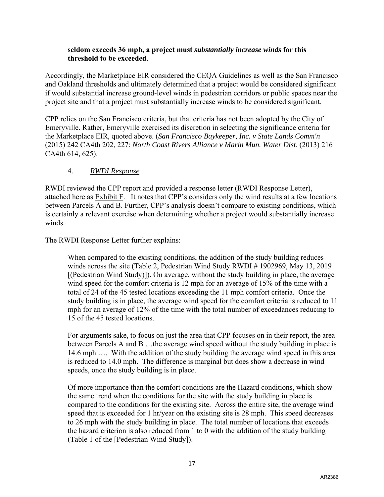#### **seldom exceeds 36 mph, a project must** *substantially increase winds* **for this threshold to be exceeded**.

Accordingly, the Marketplace EIR considered the CEQA Guidelines as well as the San Francisco and Oakland thresholds and ultimately determined that a project would be considered significant if would substantial increase ground-level winds in pedestrian corridors or public spaces near the project site and that a project must substantially increase winds to be considered significant.

CPP relies on the San Francisco criteria, but that criteria has not been adopted by the City of Emeryville. Rather, Emeryville exercised its discretion in selecting the significance criteria for the Marketplace EIR, quoted above. (*San Francisco Baykeeper, Inc. v State Lands Comm'n* (2015) 242 CA4th 202, 227; *North Coast Rivers Alliance v Marin Mun. Water Dist*. (2013) 216 CA4th 614, 625).

# 4. *RWDI Response*

RWDI reviewed the CPP report and provided a response letter (RWDI Response Letter), attached here as Exhibit F. It notes that CPP's considers only the wind results at a few locations between Parcels A and B. Further, CPP's analysis doesn't compare to existing conditions, which is certainly a relevant exercise when determining whether a project would substantially increase winds.

The RWDI Response Letter further explains:

When compared to the existing conditions, the addition of the study building reduces winds across the site (Table 2, Pedestrian Wind Study RWDI # 1902969, May 13, 2019 [(Pedestrian Wind Study)]). On average, without the study building in place, the average wind speed for the comfort criteria is 12 mph for an average of 15% of the time with a total of 24 of the 45 tested locations exceeding the 11 mph comfort criteria. Once the study building is in place, the average wind speed for the comfort criteria is reduced to 11 mph for an average of 12% of the time with the total number of exceedances reducing to 15 of the 45 tested locations.

For arguments sake, to focus on just the area that CPP focuses on in their report, the area between Parcels A and B …the average wind speed without the study building in place is 14.6 mph …. With the addition of the study building the average wind speed in this area is reduced to 14.0 mph. The difference is marginal but does show a decrease in wind speeds, once the study building is in place.

Of more importance than the comfort conditions are the Hazard conditions, which show the same trend when the conditions for the site with the study building in place is compared to the conditions for the existing site. Across the entire site, the average wind speed that is exceeded for 1 hr/year on the existing site is 28 mph. This speed decreases to 26 mph with the study building in place. The total number of locations that exceeds the hazard criterion is also reduced from 1 to 0 with the addition of the study building (Table 1 of the [Pedestrian Wind Study]).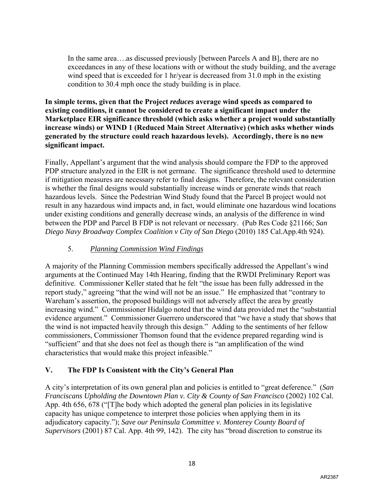In the same area….as discussed previously [between Parcels A and B], there are no exceedances in any of these locations with or without the study building, and the average wind speed that is exceeded for 1 hr/year is decreased from 31.0 mph in the existing condition to 30.4 mph once the study building is in place.

**In simple terms, given that the Project** *reduces* **average wind speeds as compared to existing conditions, it cannot be considered to create a significant impact under the Marketplace EIR significance threshold (which asks whether a project would substantially increase winds) or WIND 1 (Reduced Main Street Alternative) (which asks whether winds generated by the structure could reach hazardous levels). Accordingly, there is no new significant impact.** 

Finally, Appellant's argument that the wind analysis should compare the FDP to the approved PDP structure analyzed in the EIR is not germane. The significance threshold used to determine if mitigation measures are necessary refer to final designs. Therefore, the relevant consideration is whether the final designs would substantially increase winds or generate winds that reach hazardous levels. Since the Pedestrian Wind Study found that the Parcel B project would not result in any hazardous wind impacts and, in fact, would eliminate one hazardous wind locations under existing conditions and generally decrease winds, an analysis of the difference in wind between the PDP and Parcel B FDP is not relevant or necessary. (Pub Res Code §21166; *San Diego Navy Broadway Complex Coalition v City of San Diego* (2010) 185 Cal.App.4th 924).

# 5. *Planning Commission Wind Findings*

A majority of the Planning Commission members specifically addressed the Appellant's wind arguments at the Continued May 14th Hearing, finding that the RWDI Preliminary Report was definitive. Commissioner Keller stated that he felt "the issue has been fully addressed in the report study," agreeing "that the wind will not be an issue." He emphasized that "contrary to Wareham's assertion, the proposed buildings will not adversely affect the area by greatly increasing wind." Commissioner Hidalgo noted that the wind data provided met the "substantial evidence argument." Commissioner Guerrero underscored that "we have a study that shows that the wind is not impacted heavily through this design." Adding to the sentiments of her fellow commissioners, Commissioner Thomson found that the evidence prepared regarding wind is "sufficient" and that she does not feel as though there is "an amplification of the wind characteristics that would make this project infeasible."

# **V. The FDP Is Consistent with the City's General Plan**

A city's interpretation of its own general plan and policies is entitled to "great deference." (*San Franciscans Upholding the Downtown Plan v. City & County of San Francisco* (2002) 102 Cal. App. 4th 656, 678 ("[T]he body which adopted the general plan policies in its legislative capacity has unique competence to interpret those policies when applying them in its adjudicatory capacity."); *Save our Peninsula Committee v. Monterey County Board of Supervisors* (2001) 87 Cal. App. 4th 99, 142). The city has "broad discretion to construe its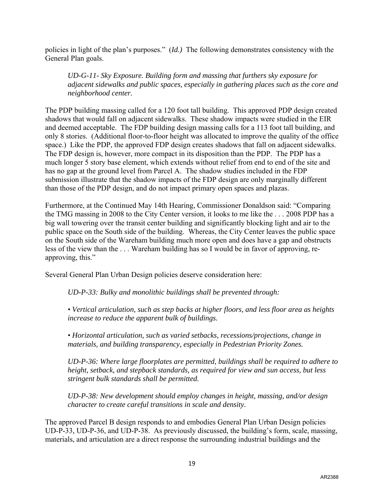policies in light of the plan's purposes." (*Id.)* The following demonstrates consistency with the General Plan goals.

*UD-G-11- Sky Exposure. Building form and massing that furthers sky exposure for adjacent sidewalks and public spaces, especially in gathering places such as the core and neighborhood center.* 

The PDP building massing called for a 120 foot tall building. This approved PDP design created shadows that would fall on adjacent sidewalks. These shadow impacts were studied in the EIR and deemed acceptable. The FDP building design massing calls for a 113 foot tall building, and only 8 stories. (Additional floor-to-floor height was allocated to improve the quality of the office space.) Like the PDP, the approved FDP design creates shadows that fall on adjacent sidewalks. The FDP design is, however, more compact in its disposition than the PDP. The PDP has a much longer 5 story base element, which extends without relief from end to end of the site and has no gap at the ground level from Parcel A. The shadow studies included in the FDP submission illustrate that the shadow impacts of the FDP design are only marginally different than those of the PDP design, and do not impact primary open spaces and plazas.

Furthermore, at the Continued May 14th Hearing, Commissioner Donaldson said: "Comparing the TMG massing in 2008 to the City Center version, it looks to me like the . . . 2008 PDP has a big wall towering over the transit center building and significantly blocking light and air to the public space on the South side of the building. Whereas, the City Center leaves the public space on the South side of the Wareham building much more open and does have a gap and obstructs less of the view than the . . . Wareham building has so I would be in favor of approving, reapproving, this."

Several General Plan Urban Design policies deserve consideration here:

*UD-P-33: Bulky and monolithic buildings shall be prevented through:* 

*• Vertical articulation, such as step backs at higher floors, and less floor area as heights increase to reduce the apparent bulk of buildings.* 

*• Horizontal articulation, such as varied setbacks, recessions/projections, change in materials, and building transparency, especially in Pedestrian Priority Zones.* 

*UD-P-36: Where large floorplates are permitted, buildings shall be required to adhere to height, setback, and stepback standards, as required for view and sun access, but less stringent bulk standards shall be permitted.* 

*UD-P-38: New development should employ changes in height, massing, and/or design character to create careful transitions in scale and density.* 

The approved Parcel B design responds to and embodies General Plan Urban Design policies UD-P-33, UD-P-36, and UD-P-38. As previously discussed, the building's form, scale, massing, materials, and articulation are a direct response the surrounding industrial buildings and the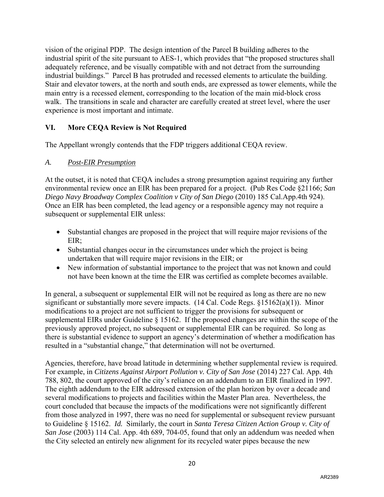vision of the original PDP. The design intention of the Parcel B building adheres to the industrial spirit of the site pursuant to AES-1, which provides that "the proposed structures shall adequately reference, and be visually compatible with and not detract from the surrounding industrial buildings." Parcel B has protruded and recessed elements to articulate the building. Stair and elevator towers, at the north and south ends, are expressed as tower elements, while the main entry is a recessed element, corresponding to the location of the main mid-block cross walk. The transitions in scale and character are carefully created at street level, where the user experience is most important and intimate.

# **VI. More CEQA Review is Not Required**

The Appellant wrongly contends that the FDP triggers additional CEQA review.

## *A. Post-EIR Presumption*

At the outset, it is noted that CEQA includes a strong presumption against requiring any further environmental review once an EIR has been prepared for a project. (Pub Res Code §21166; *San Diego Navy Broadway Complex Coalition v City of San Diego* (2010) 185 Cal.App.4th 924). Once an EIR has been completed, the lead agency or a responsible agency may not require a subsequent or supplemental EIR unless:

- Substantial changes are proposed in the project that will require major revisions of the EIR;
- Substantial changes occur in the circumstances under which the project is being undertaken that will require major revisions in the EIR; or
- New information of substantial importance to the project that was not known and could not have been known at the time the EIR was certified as complete becomes available.

In general, a subsequent or supplemental EIR will not be required as long as there are no new significant or substantially more severe impacts.  $(14 \text{ Cal. Code Regs. } \xi 15162(a)(1))$ . Minor modifications to a project are not sufficient to trigger the provisions for subsequent or supplemental EIRs under Guideline § 15162. If the proposed changes are within the scope of the previously approved project, no subsequent or supplemental EIR can be required. So long as there is substantial evidence to support an agency's determination of whether a modification has resulted in a "substantial change," that determination will not be overturned.

Agencies, therefore, have broad latitude in determining whether supplemental review is required. For example, in *Citizens Against Airport Pollution v. City of San Jose* (2014) 227 Cal. App. 4th 788, 802, the court approved of the city's reliance on an addendum to an EIR finalized in 1997. The eighth addendum to the EIR addressed extension of the plan horizon by over a decade and several modifications to projects and facilities within the Master Plan area. Nevertheless, the court concluded that because the impacts of the modifications were not significantly different from those analyzed in 1997, there was no need for supplemental or subsequent review pursuant to Guideline § 15162. *Id.* Similarly, the court in *Santa Teresa Citizen Action Group v. City of San Jose* (2003) 114 Cal. App. 4th 689, 704-05, found that only an addendum was needed when the City selected an entirely new alignment for its recycled water pipes because the new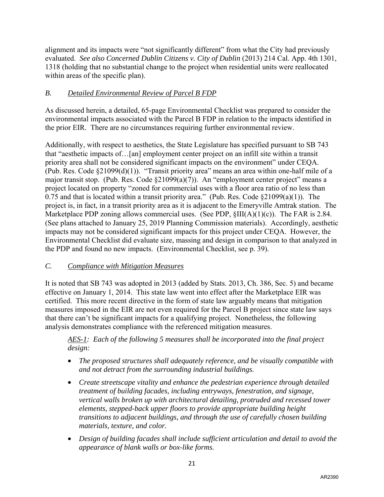alignment and its impacts were "not significantly different" from what the City had previously evaluated. *See also Concerned Dublin Citizens v. City of Dublin* (2013) 214 Cal. App. 4th 1301, 1318 (holding that no substantial change to the project when residential units were reallocated within areas of the specific plan).

# *B. Detailed Environmental Review of Parcel B FDP*

As discussed herein, a detailed, 65-page Environmental Checklist was prepared to consider the environmental impacts associated with the Parcel B FDP in relation to the impacts identified in the prior EIR. There are no circumstances requiring further environmental review.

Additionally, with respect to aesthetics, the State Legislature has specified pursuant to SB 743 that "aesthetic impacts of…[an] employment center project on an infill site within a transit priority area shall not be considered significant impacts on the environment" under CEQA. (Pub. Res. Code §21099(d)(1)). "Transit priority area" means an area within one-half mile of a major transit stop. (Pub. Res. Code §21099(a)(7)). An "employment center project" means a project located on property "zoned for commercial uses with a floor area ratio of no less than 0.75 and that is located within a transit priority area." (Pub. Res. Code  $\S21099(a)(1)$ ). The project is, in fact, in a transit priority area as it is adjacent to the Emeryville Amtrak station. The Marketplace PDP zoning allows commercial uses. (See PDP,  $\SIII(A)(1)(c)$ ). The FAR is 2.84. (See plans attached to January 25, 2019 Planning Commission materials). Accordingly, aesthetic impacts may not be considered significant impacts for this project under CEQA. However, the Environmental Checklist did evaluate size, massing and design in comparison to that analyzed in the PDP and found no new impacts. (Environmental Checklist, see p. 39).

# *C. Compliance with Mitigation Measures*

It is noted that SB 743 was adopted in 2013 (added by Stats. 2013, Ch. 386, Sec. 5) and became effective on January 1, 2014. This state law went into effect after the Marketplace EIR was certified. This more recent directive in the form of state law arguably means that mitigation measures imposed in the EIR are not even required for the Parcel B project since state law says that there can't be significant impacts for a qualifying project. Nonetheless, the following analysis demonstrates compliance with the referenced mitigation measures.

*AES-1: Each of the following 5 measures shall be incorporated into the final project design:* 

- *The proposed structures shall adequately reference, and be visually compatible with and not detract from the surrounding industrial buildings.*
- *Create streetscape vitality and enhance the pedestrian experience through detailed treatment of building facades, including entryways, fenestration, and signage, vertical walls broken up with architectural detailing, protruded and recessed tower elements, stepped-back upper floors to provide appropriate building height transitions to adjacent buildings, and through the use of carefully chosen building materials, texture, and color.*
- *Design of building facades shall include sufficient articulation and detail to avoid the appearance of blank walls or box-like forms.*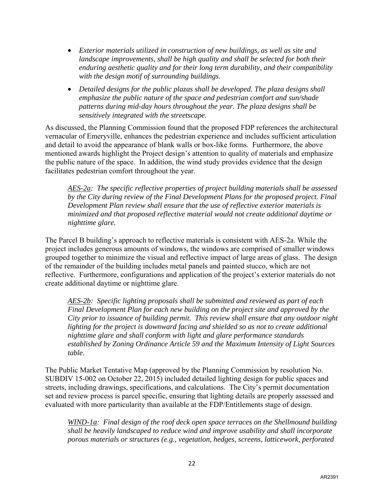- *Exterior materials utilized in construction of new buildings, as well as site and landscape improvements, shall be high quality and shall be selected for both their enduring aesthetic quality and for their long term durability, and their compatibility with the design motif of surrounding buildings.*
- *Detailed designs for the public plazas shall be developed. The plaza designs shall emphasize the public nature of the space and pedestrian comfort and sun/shade patterns during mid-day hours throughout the year. The plaza designs shall be sensitively integrated with the streetscape.*

As discussed, the Planning Commission found that the proposed FDP references the architectural vernacular of Emeryville, enhances the pedestrian experience and includes sufficient articulation and detail to avoid the appearance of blank walls or box-like forms. Furthermore, the above mentioned awards highlight the Project design's attention to quality of materials and emphasize the public nature of the space. In addition, the wind study provides evidence that the design facilitates pedestrian comfort throughout the year.

*AES-2a: The specific reflective properties of project building materials shall be assessed by the City during review of the Final Development Plans for the proposed project. Final Development Plan review shall ensure that the use of reflective exterior materials is minimized and that proposed reflective material would not create additional daytime or nighttime glare.* 

The Parcel B building's approach to reflective materials is consistent with AES-2a. While the project includes generous amounts of windows, the windows are comprised of smaller windows grouped together to minimize the visual and reflective impact of large areas of glass. The design of the remainder of the building includes metal panels and painted stucco, which are not reflective. Furthermore, configurations and application of the project's exterior materials do not create additional daytime or nighttime glare.

*AES-2b: Specific lighting proposals shall be submitted and reviewed as part of each Final Development Plan for each new building on the project site and approved by the City prior to issuance of building permit. This review shall ensure that any outdoor night*  lighting for the project is downward facing and shielded so as not to create additional *nighttime glare and shall conform with light and glare performance standards established by Zoning Ordinance Article 59 and the Maximum Intensity of Light Sources table.* 

The Public Market Tentative Map (approved by the Planning Commission by resolution No. SUBDIV 15-002 on October 22, 2015) included detailed lighting design for public spaces and streets, including drawings, specifications, and calculations. The City's permit documentation set and review process is parcel specific, ensuring that lighting details are properly assessed and evaluated with more particularity than available at the FDP/Entitlements stage of design.

*WIND-1a: Final design of the roof deck open space terraces on the Shellmound building shall be heavily landscaped to reduce wind and improve usability and shall incorporate porous materials or structures (e.g., vegetation, hedges, screens, latticework, perforated*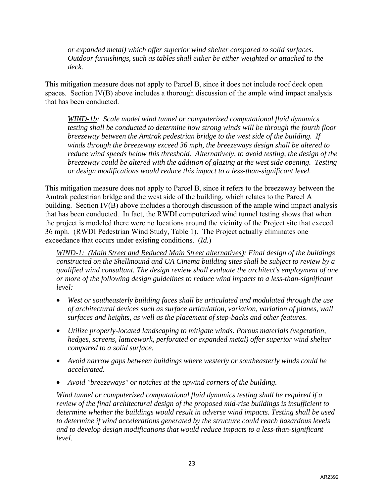*or expanded metal) which offer superior wind shelter compared to solid surfaces. Outdoor furnishings, such as tables shall either be either weighted or attached to the deck.*

This mitigation measure does not apply to Parcel B, since it does not include roof deck open spaces. Section IV(B) above includes a thorough discussion of the ample wind impact analysis that has been conducted.

*WIND-1b: Scale model wind tunnel or computerized computational fluid dynamics testing shall be conducted to determine how strong winds will be through the fourth floor breezeway between the Amtrak pedestrian bridge to the west side of the building. If winds through the breezeway exceed 36 mph, the breezeways design shall be altered to reduce wind speeds below this threshold. Alternatively, to avoid testing, the design of the breezeway could be altered with the addition of glazing at the west side opening. Testing or design modifications would reduce this impact to a less-than-significant level.* 

This mitigation measure does not apply to Parcel B, since it refers to the breezeway between the Amtrak pedestrian bridge and the west side of the building, which relates to the Parcel A building. Section IV(B) above includes a thorough discussion of the ample wind impact analysis that has been conducted. In fact, the RWDI computerized wind tunnel testing shows that when the project is modeled there were no locations around the vicinity of the Project site that exceed 36 mph. (RWDI Pedestrian Wind Study, Table 1). The Project actually eliminates one exceedance that occurs under existing conditions. (*Id.*)

*WIND-1: (Main Street and Reduced Main Street alternatives): Final design of the buildings constructed on the Shellmound and UA Cinema building sites shall be subject to review by a qualified wind consultant. The design review shall evaluate the architect's employment of one or more of the following design guidelines to reduce wind impacts to a less-than-significant level:* 

- *West or southeasterly building faces shall be articulated and modulated through the use of architectural devices such as surface articulation, variation, variation of planes, wall surfaces and heights, as well as the placement of step-backs and other features.*
- *Utilize properly-located landscaping to mitigate winds. Porous materials (vegetation, hedges, screens, latticework, perforated or expanded metal) offer superior wind shelter compared to a solid surface.*
- *Avoid narrow gaps between buildings where westerly or southeasterly winds could be accelerated.*
- *Avoid ''breezeways'' or notches at the upwind corners of the building.*

*Wind tunnel or computerized computational fluid dynamics testing shall be required if a review of the final architectural design of the proposed mid-rise buildings is insufficient to determine whether the buildings would result in adverse wind impacts. Testing shall be used to determine if wind accelerations generated by the structure could reach hazardous levels and to develop design modifications that would reduce impacts to a less-than-significant level*.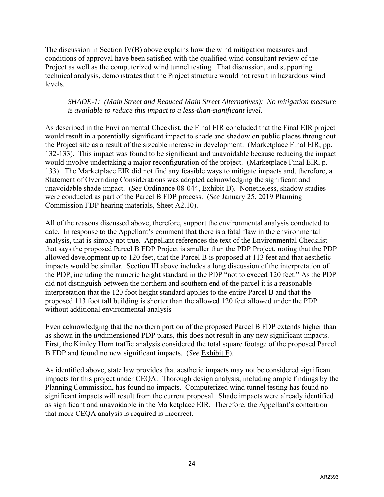The discussion in Section IV(B) above explains how the wind mitigation measures and conditions of approval have been satisfied with the qualified wind consultant review of the Project as well as the computerized wind tunnel testing. That discussion, and supporting technical analysis, demonstrates that the Project structure would not result in hazardous wind levels.

## *SHADE-1: (Main Street and Reduced Main Street Alternatives): No mitigation measure is available to reduce this impact to a less-than-significant level.*

As described in the Environmental Checklist, the Final EIR concluded that the Final EIR project would result in a potentially significant impact to shade and shadow on public places throughout the Project site as a result of the sizeable increase in development. (Marketplace Final EIR, pp. 132-133). This impact was found to be significant and unavoidable because reducing the impact would involve undertaking a major reconfiguration of the project. (Marketplace Final EIR, p. 133). The Marketplace EIR did not find any feasible ways to mitigate impacts and, therefore, a Statement of Overriding Considerations was adopted acknowledging the significant and unavoidable shade impact. (*See* Ordinance 08-044, Exhibit D). Nonetheless, shadow studies were conducted as part of the Parcel B FDP process. (*See* January 25, 2019 Planning Commission FDP hearing materials, Sheet A2.10).

All of the reasons discussed above, therefore, support the environmental analysis conducted to date. In response to the Appellant's comment that there is a fatal flaw in the environmental analysis, that is simply not true. Appellant references the text of the Environmental Checklist that says the proposed Parcel B FDP Project is smaller than the PDP Project, noting that the PDP allowed development up to 120 feet, that the Parcel B is proposed at 113 feet and that aesthetic impacts would be similar. Section III above includes a long discussion of the interpretation of the PDP, including the numeric height standard in the PDP "not to exceed 120 feet." As the PDP did not distinguish between the northern and southern end of the parcel it is a reasonable interpretation that the 120 foot height standard applies to the entire Parcel B and that the proposed 113 foot tall building is shorter than the allowed 120 feet allowed under the PDP without additional environmental analysis

Even acknowledging that the northern portion of the proposed Parcel B FDP extends higher than as shown in the *un*dimensioned PDP plans, this does not result in any new significant impacts. First, the Kimley Horn traffic analysis considered the total square footage of the proposed Parcel B FDP and found no new significant impacts. (*See* Exhibit F).

As identified above, state law provides that aesthetic impacts may not be considered significant impacts for this project under CEQA. Thorough design analysis, including ample findings by the Planning Commission, has found no impacts. Computerized wind tunnel testing has found no significant impacts will result from the current proposal. Shade impacts were already identified as significant and unavoidable in the Marketplace EIR. Therefore, the Appellant's contention that more CEQA analysis is required is incorrect.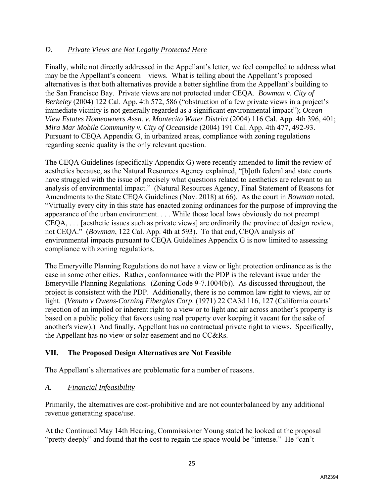# *D. Private Views are Not Legally Protected Here*

Finally, while not directly addressed in the Appellant's letter, we feel compelled to address what may be the Appellant's concern – views. What is telling about the Appellant's proposed alternatives is that both alternatives provide a better sightline from the Appellant's building to the San Francisco Bay. Private views are not protected under CEQA. *Bowman v. City of Berkeley* (2004) 122 Cal. App. 4th 572, 586 ("obstruction of a few private views in a project's immediate vicinity is not generally regarded as a significant environmental impact"); *Ocean View Estates Homeowners Assn. v. Montecito Water District* (2004) 116 Cal. App. 4th 396, 401; *Mira Mar Mobile Community v. City of Oceanside* (2004) 191 Cal. App. 4th 477, 492-93. Pursuant to CEQA Appendix G, in urbanized areas, compliance with zoning regulations regarding scenic quality is the only relevant question.

The CEQA Guidelines (specifically Appendix G) were recently amended to limit the review of aesthetics because, as the Natural Resources Agency explained, "[b]oth federal and state courts have struggled with the issue of precisely what questions related to aesthetics are relevant to an analysis of environmental impact." (Natural Resources Agency, Final Statement of Reasons for Amendments to the State CEQA Guidelines (Nov. 2018) at 66). As the court in *Bowman* noted, "Virtually every city in this state has enacted zoning ordinances for the purpose of improving the appearance of the urban environment. . . . While those local laws obviously do not preempt CEQA, . . . [aesthetic issues such as private views] are ordinarily the province of design review, not CEQA." (*Bowman*, 122 Cal. App. 4th at 593). To that end, CEQA analysis of environmental impacts pursuant to CEQA Guidelines Appendix G is now limited to assessing compliance with zoning regulations.

The Emeryville Planning Regulations do not have a view or light protection ordinance as is the case in some other cities. Rather, conformance with the PDP is the relevant issue under the Emeryville Planning Regulations. (Zoning Code 9-7.1004(b)). As discussed throughout, the project is consistent with the PDP. Additionally, there is no common law right to views, air or light. (*Venuto v Owens-Corning Fiberglas Corp*. (1971) 22 CA3d 116, 127 (California courts' rejection of an implied or inherent right to a view or to light and air across another's property is based on a public policy that favors using real property over keeping it vacant for the sake of another's view).) And finally, Appellant has no contractual private right to views. Specifically, the Appellant has no view or solar easement and no CC&Rs.

## **VII. The Proposed Design Alternatives are Not Feasible**

The Appellant's alternatives are problematic for a number of reasons.

## *A. Financial Infeasibility*

Primarily, the alternatives are cost-prohibitive and are not counterbalanced by any additional revenue generating space/use.

At the Continued May 14th Hearing, Commissioner Young stated he looked at the proposal "pretty deeply" and found that the cost to regain the space would be "intense." He "can't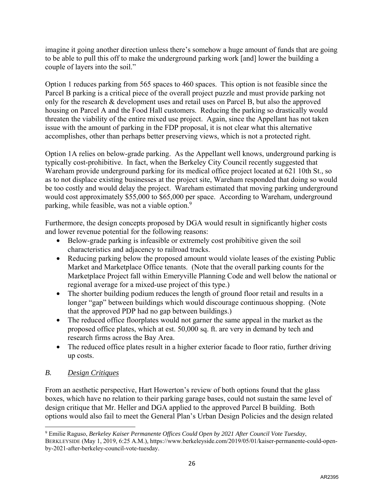imagine it going another direction unless there's somehow a huge amount of funds that are going to be able to pull this off to make the underground parking work [and] lower the building a couple of layers into the soil."

Option 1 reduces parking from 565 spaces to 460 spaces. This option is not feasible since the Parcel B parking is a critical piece of the overall project puzzle and must provide parking not only for the research & development uses and retail uses on Parcel B, but also the approved housing on Parcel A and the Food Hall customers. Reducing the parking so drastically would threaten the viability of the entire mixed use project. Again, since the Appellant has not taken issue with the amount of parking in the FDP proposal, it is not clear what this alternative accomplishes, other than perhaps better preserving views, which is not a protected right.

Option 1A relies on below-grade parking. As the Appellant well knows, underground parking is typically cost-prohibitive. In fact, when the Berkeley City Council recently suggested that Wareham provide underground parking for its medical office project located at 621 10th St., so as to not displace existing businesses at the project site, Wareham responded that doing so would be too costly and would delay the project. Wareham estimated that moving parking underground would cost approximately \$55,000 to \$65,000 per space. According to Wareham, underground parking, while feasible, was not a viable option.<sup>9</sup>

Furthermore, the design concepts proposed by DGA would result in significantly higher costs and lower revenue potential for the following reasons:

- Below-grade parking is infeasible or extremely cost prohibitive given the soil characteristics and adjacency to railroad tracks.
- Reducing parking below the proposed amount would violate leases of the existing Public Market and Marketplace Office tenants. (Note that the overall parking counts for the Marketplace Project fall within Emeryville Planning Code and well below the national or regional average for a mixed-use project of this type.)
- The shorter building podium reduces the length of ground floor retail and results in a longer "gap" between buildings which would discourage continuous shopping. (Note that the approved PDP had no gap between buildings.)
- The reduced office floorplates would not garner the same appeal in the market as the proposed office plates, which at est. 50,000 sq. ft. are very in demand by tech and research firms across the Bay Area.
- The reduced office plates result in a higher exterior facade to floor ratio, further driving up costs.

# *B. Design Critiques*

From an aesthetic perspective, Hart Howerton's review of both options found that the glass boxes, which have no relation to their parking garage bases, could not sustain the same level of design critique that Mr. Heller and DGA applied to the approved Parcel B building. Both options would also fail to meet the General Plan's Urban Design Policies and the design related

 $\overline{\phantom{a}}$ 9 Emilie Raguso, *Berkeley Kaiser Permanente Offices Could Open by 2021 After Council Vote Tuesday*, BERKLEYSIDE (May 1, 2019, 6:25 A.M.), https://www.berkeleyside.com/2019/05/01/kaiser-permanente-could-openby-2021-after-berkeley-council-vote-tuesday.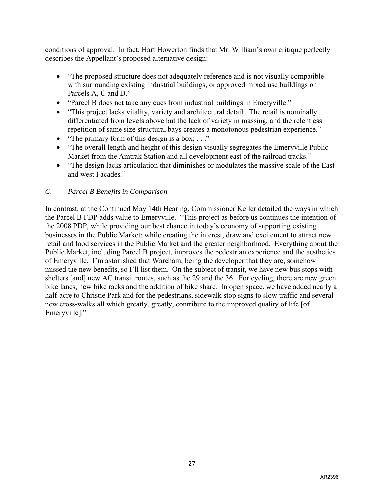conditions of approval. In fact, Hart Howerton finds that Mr. William's own critique perfectly describes the Appellant's proposed alternative design:

- "The proposed structure does not adequately reference and is not visually compatible with surrounding existing industrial buildings, or approved mixed use buildings on Parcels A, C and D."
- "Parcel B does not take any cues from industrial buildings in Emeryville."
- "This project lacks vitality, variety and architectural detail. The retail is nominally differentiated from levels above but the lack of variety in massing, and the relentless repetition of same size structural bays creates a monotonous pedestrian experience."
- "The primary form of this design is a box;  $\dots$ "
- "The overall length and height of this design visually segregates the Emeryville Public Market from the Amtrak Station and all development east of the railroad tracks."
- "The design lacks articulation that diminishes or modulates the massive scale of the East and west Facades."

# *C. Parcel B Benefits in Comparison*

In contrast, at the Continued May 14th Hearing, Commissioner Keller detailed the ways in which the Parcel B FDP adds value to Emeryville. "This project as before us continues the intention of the 2008 PDP, while providing our best chance in today's economy of supporting existing businesses in the Public Market; while creating the interest, draw and excitement to attract new retail and food services in the Public Market and the greater neighborhood. Everything about the Public Market, including Parcel B project, improves the pedestrian experience and the aesthetics of Emeryville. I'm astonished that Wareham, being the developer that they are, somehow missed the new benefits, so I'll list them. On the subject of transit, we have new bus stops with shelters [and] new AC transit routes, such as the 29 and the 36. For cycling, there are new green bike lanes, new bike racks and the addition of bike share. In open space, we have added nearly a half-acre to Christie Park and for the pedestrians, sidewalk stop signs to slow traffic and several new cross-walks all which greatly, greatly, contribute to the improved quality of life [of Emeryville]."